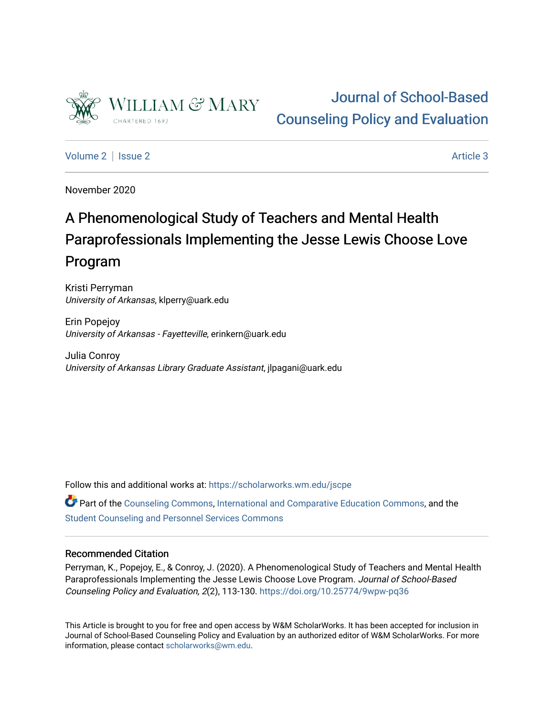

# [Journal of School-Based](https://scholarworks.wm.edu/jscpe)  [Counseling Policy and Evaluation](https://scholarworks.wm.edu/jscpe)

[Volume 2](https://scholarworks.wm.edu/jscpe/vol2) | [Issue 2](https://scholarworks.wm.edu/jscpe/vol2/iss2) Article 3

November 2020

# A Phenomenological Study of Teachers and Mental Health Paraprofessionals Implementing the Jesse Lewis Choose Love Program

Kristi Perryman University of Arkansas, klperry@uark.edu

Erin Popejoy University of Arkansas - Fayetteville, erinkern@uark.edu

Julia Conroy University of Arkansas Library Graduate Assistant, jlpagani@uark.edu

Follow this and additional works at: [https://scholarworks.wm.edu/jscpe](https://scholarworks.wm.edu/jscpe?utm_source=scholarworks.wm.edu%2Fjscpe%2Fvol2%2Fiss2%2F3&utm_medium=PDF&utm_campaign=PDFCoverPages) 

Part of the [Counseling Commons,](http://network.bepress.com/hgg/discipline/1268?utm_source=scholarworks.wm.edu%2Fjscpe%2Fvol2%2Fiss2%2F3&utm_medium=PDF&utm_campaign=PDFCoverPages) [International and Comparative Education Commons](http://network.bepress.com/hgg/discipline/797?utm_source=scholarworks.wm.edu%2Fjscpe%2Fvol2%2Fiss2%2F3&utm_medium=PDF&utm_campaign=PDFCoverPages), and the [Student Counseling and Personnel Services Commons](http://network.bepress.com/hgg/discipline/802?utm_source=scholarworks.wm.edu%2Fjscpe%2Fvol2%2Fiss2%2F3&utm_medium=PDF&utm_campaign=PDFCoverPages)

# Recommended Citation

Perryman, K., Popejoy, E., & Conroy, J. (2020). A Phenomenological Study of Teachers and Mental Health Paraprofessionals Implementing the Jesse Lewis Choose Love Program. Journal of School-Based Counseling Policy and Evaluation, 2(2), 113-130.<https://doi.org/10.25774/9wpw-pq36>

This Article is brought to you for free and open access by W&M ScholarWorks. It has been accepted for inclusion in Journal of School-Based Counseling Policy and Evaluation by an authorized editor of W&M ScholarWorks. For more information, please contact [scholarworks@wm.edu](mailto:scholarworks@wm.edu).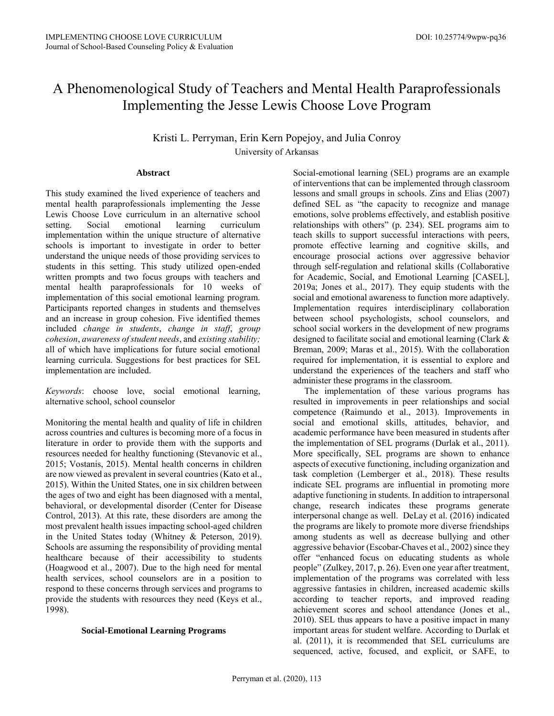# A Phenomenological Study of Teachers and Mental Health Paraprofessionals Implementing the Jesse Lewis Choose Love Program

Kristi L. Perryman, Erin Kern Popejoy, and Julia Conroy University of Arkansas

#### **Abstract**

This study examined the lived experience of teachers and mental health paraprofessionals implementing the Jesse Lewis Choose Love curriculum in an alternative school setting. Social emotional learning curriculum implementation within the unique structure of alternative schools is important to investigate in order to better understand the unique needs of those providing services to students in this setting. This study utilized open-ended written prompts and two focus groups with teachers and mental health paraprofessionals for 10 weeks of implementation of this social emotional learning program. Participants reported changes in students and themselves and an increase in group cohesion. Five identified themes included *change in students*, *change in staff*, *group cohesion*, *awareness of student needs*, and *existing stability;* all of which have implications for future social emotional learning curricula. Suggestions for best practices for SEL implementation are included.

*Keywords*: choose love, social emotional learning, alternative school, school counselor

Monitoring the mental health and quality of life in children across countries and cultures is becoming more of a focus in literature in order to provide them with the supports and resources needed for healthy functioning (Stevanovic et al., 2015; Vostanis, 2015). Mental health concerns in children are now viewed as prevalent in several countries (Kato et al., 2015). Within the United States, one in six children between the ages of two and eight has been diagnosed with a mental, behavioral, or developmental disorder (Center for Disease Control, 2013). At this rate, these disorders are among the most prevalent health issues impacting school-aged children in the United States today (Whitney & Peterson, 2019). Schools are assuming the responsibility of providing mental healthcare because of their accessibility to students (Hoagwood et al., 2007). Due to the high need for mental health services, school counselors are in a position to respond to these concerns through services and programs to provide the students with resources they need (Keys et al., 1998).

#### **Social-Emotional Learning Programs**

Social-emotional learning (SEL) programs are an example of interventions that can be implemented through classroom lessons and small groups in schools. Zins and Elias (2007) defined SEL as "the capacity to recognize and manage emotions, solve problems effectively, and establish positive relationships with others" (p. 234). SEL programs aim to teach skills to support successful interactions with peers, promote effective learning and cognitive skills, and encourage prosocial actions over aggressive behavior through self-regulation and relational skills (Collaborative for Academic, Social, and Emotional Learning [CASEL], 2019a; Jones et al., 2017). They equip students with the social and emotional awareness to function more adaptively. Implementation requires interdisciplinary collaboration between school psychologists, school counselors, and school social workers in the development of new programs designed to facilitate social and emotional learning (Clark & Breman, 2009; Maras et al., 2015). With the collaboration required for implementation, it is essential to explore and understand the experiences of the teachers and staff who administer these programs in the classroom.

 The implementation of these various programs has resulted in improvements in peer relationships and social competence (Raimundo et al., 2013). Improvements in social and emotional skills, attitudes, behavior, and academic performance have been measured in students after the implementation of SEL programs (Durlak et al., 2011). More specifically, SEL programs are shown to enhance aspects of executive functioning, including organization and task completion (Lemberger et al., 2018). These results indicate SEL programs are influential in promoting more adaptive functioning in students. In addition to intrapersonal change, research indicates these programs generate interpersonal change as well. DeLay et al. (2016) indicated the programs are likely to promote more diverse friendships among students as well as decrease bullying and other aggressive behavior (Escobar‐Chaves et al., 2002) since they offer "enhanced focus on educating students as whole people" (Zulkey, 2017, p. 26). Even one year after treatment, implementation of the programs was correlated with less aggressive fantasies in children, increased academic skills according to teacher reports, and improved reading achievement scores and school attendance (Jones et al., 2010). SEL thus appears to have a positive impact in many important areas for student welfare. According to Durlak et al. (2011), it is recommended that SEL curriculums are sequenced, active, focused, and explicit, or SAFE, to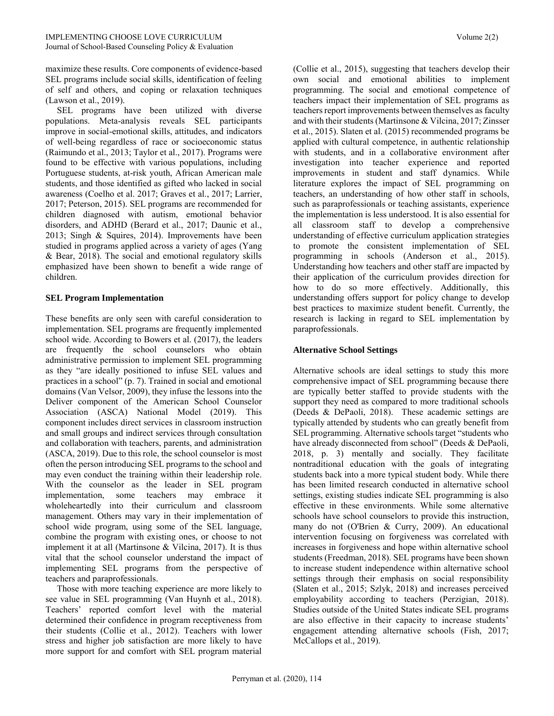maximize these results. Core components of evidence-based SEL programs include social skills, identification of feeling of self and others, and coping or relaxation techniques (Lawson et al., 2019).

 SEL programs have been utilized with diverse populations. Meta-analysis reveals SEL participants improve in social-emotional skills, attitudes, and indicators of well-being regardless of race or socioeconomic status (Raimundo et al., 2013; Taylor et al., 2017). Programs were found to be effective with various populations, including Portuguese students, at-risk youth, African American male students, and those identified as gifted who lacked in social awareness (Coelho et al. 2017; Graves et al., 2017; Larrier, 2017; Peterson, 2015). SEL programs are recommended for children diagnosed with autism, emotional behavior disorders, and ADHD (Berard et al., 2017; Daunic et al., 2013; Singh & Squires, 2014). Improvements have been studied in programs applied across a variety of ages (Yang & Bear, 2018). The social and emotional regulatory skills emphasized have been shown to benefit a wide range of children.

#### **SEL Program Implementation**

These benefits are only seen with careful consideration to implementation. SEL programs are frequently implemented school wide. According to Bowers et al. (2017), the leaders are frequently the school counselors who obtain administrative permission to implement SEL programming as they "are ideally positioned to infuse SEL values and practices in a school" (p. 7). Trained in social and emotional domains (Van Velsor, 2009), they infuse the lessons into the Deliver component of the American School Counselor Association (ASCA) National Model (2019). This component includes direct services in classroom instruction and small groups and indirect services through consultation and collaboration with teachers, parents, and administration (ASCA, 2019). Due to this role, the school counselor is most often the person introducing SEL programs to the school and may even conduct the training within their leadership role. With the counselor as the leader in SEL program implementation, some teachers may embrace it wholeheartedly into their curriculum and classroom management. Others may vary in their implementation of school wide program, using some of the SEL language, combine the program with existing ones, or choose to not implement it at all (Martinsone & Vilcina, 2017). It is thus vital that the school counselor understand the impact of implementing SEL programs from the perspective of teachers and paraprofessionals.

 Those with more teaching experience are more likely to see value in SEL programming (Van Huynh et al., 2018). Teachers' reported comfort level with the material determined their confidence in program receptiveness from their students (Collie et al., 2012). Teachers with lower stress and higher job satisfaction are more likely to have more support for and comfort with SEL program material (Collie et al., 2015), suggesting that teachers develop their own social and emotional abilities to implement programming. The social and emotional competence of teachers impact their implementation of SEL programs as teachers report improvements between themselves as faculty and with their students (Martinsone & Vilcina, 2017; Zinsser et al., 2015). Slaten et al. (2015) recommended programs be applied with cultural competence, in authentic relationship with students, and in a collaborative environment after investigation into teacher experience and reported improvements in student and staff dynamics. While literature explores the impact of SEL programming on teachers, an understanding of how other staff in schools, such as paraprofessionals or teaching assistants, experience the implementation is less understood. It is also essential for all classroom staff to develop a comprehensive understanding of effective curriculum application strategies to promote the consistent implementation of SEL programming in schools (Anderson et al., 2015). Understanding how teachers and other staff are impacted by their application of the curriculum provides direction for how to do so more effectively. Additionally, this understanding offers support for policy change to develop best practices to maximize student benefit. Currently, the research is lacking in regard to SEL implementation by paraprofessionals.

## **Alternative School Settings**

Alternative schools are ideal settings to study this more comprehensive impact of SEL programming because there are typically better staffed to provide students with the support they need as compared to more traditional schools (Deeds & DePaoli, 2018). These academic settings are typically attended by students who can greatly benefit from SEL programming. Alternative schools target "students who have already disconnected from school" (Deeds & DePaoli, 2018, p. 3) mentally and socially. They facilitate nontraditional education with the goals of integrating students back into a more typical student body. While there has been limited research conducted in alternative school settings, existing studies indicate SEL programming is also effective in these environments. While some alternative schools have school counselors to provide this instruction, many do not (O'Brien & Curry, 2009). An educational intervention focusing on forgiveness was correlated with increases in forgiveness and hope within alternative school students (Freedman, 2018). SEL programs have been shown to increase student independence within alternative school settings through their emphasis on social responsibility (Slaten et al., 2015; Szlyk, 2018) and increases perceived employability according to teachers (Perzigian, 2018). Studies outside of the United States indicate SEL programs are also effective in their capacity to increase students' engagement attending alternative schools (Fish, 2017; McCallops et al., 2019).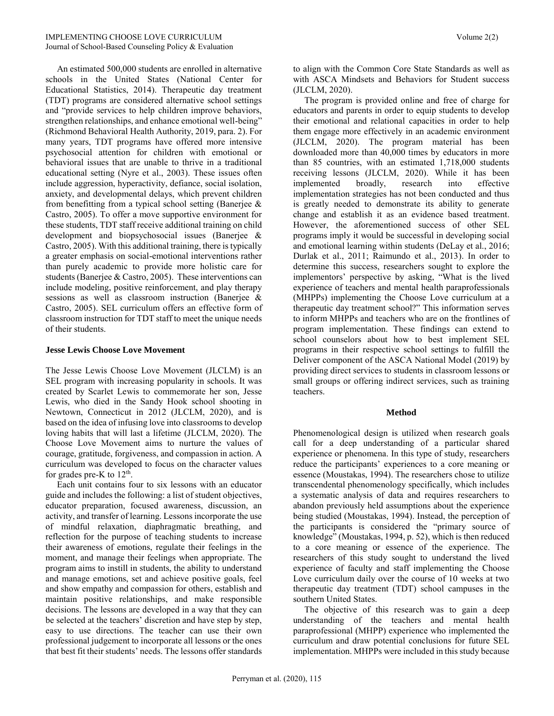An estimated 500,000 students are enrolled in alternative schools in the United States (National Center for Educational Statistics, 2014). Therapeutic day treatment (TDT) programs are considered alternative school settings and "provide services to help children improve behaviors, strengthen relationships, and enhance emotional well-being" (Richmond Behavioral Health Authority, 2019, para. 2). For many years, TDT programs have offered more intensive psychosocial attention for children with emotional or behavioral issues that are unable to thrive in a traditional educational setting (Nyre et al., 2003). These issues often include aggression, hyperactivity, defiance, social isolation, anxiety, and developmental delays, which prevent children from benefitting from a typical school setting (Banerjee  $\&$ Castro, 2005). To offer a move supportive environment for these students, TDT staff receive additional training on child development and biopsychosocial issues (Banerjee & Castro, 2005). With this additional training, there is typically a greater emphasis on social-emotional interventions rather than purely academic to provide more holistic care for students (Banerjee & Castro, 2005). These interventions can include modeling, positive reinforcement, and play therapy sessions as well as classroom instruction (Banerjee & Castro, 2005). SEL curriculum offers an effective form of classroom instruction for TDT staff to meet the unique needs of their students.

#### **Jesse Lewis Choose Love Movement**

The Jesse Lewis Choose Love Movement (JLCLM) is an SEL program with increasing popularity in schools. It was created by Scarlet Lewis to commemorate her son, Jesse Lewis, who died in the Sandy Hook school shooting in Newtown, Connecticut in 2012 (JLCLM, 2020), and is based on the idea of infusing love into classrooms to develop loving habits that will last a lifetime (JLCLM, 2020). The Choose Love Movement aims to nurture the values of courage, gratitude, forgiveness, and compassion in action. A curriculum was developed to focus on the character values for grades pre-K to  $12<sup>th</sup>$ .

 Each unit contains four to six lessons with an educator guide and includes the following: a list of student objectives, educator preparation, focused awareness, discussion, an activity, and transfer of learning. Lessons incorporate the use of mindful relaxation, diaphragmatic breathing, and reflection for the purpose of teaching students to increase their awareness of emotions, regulate their feelings in the moment, and manage their feelings when appropriate. The program aims to instill in students, the ability to understand and manage emotions, set and achieve positive goals, feel and show empathy and compassion for others, establish and maintain positive relationships, and make responsible decisions. The lessons are developed in a way that they can be selected at the teachers' discretion and have step by step, easy to use directions. The teacher can use their own professional judgement to incorporate all lessons or the ones that best fit their students' needs. The lessons offer standards to align with the Common Core State Standards as well as with ASCA Mindsets and Behaviors for Student success (JLCLM, 2020).

 The program is provided online and free of charge for educators and parents in order to equip students to develop their emotional and relational capacities in order to help them engage more effectively in an academic environment (JLCLM, 2020). The program material has been downloaded more than 40,000 times by educators in more than 85 countries, with an estimated 1,718,000 students receiving lessons (JLCLM, 2020). While it has been implemented broadly, research into effective implementation strategies has not been conducted and thus is greatly needed to demonstrate its ability to generate change and establish it as an evidence based treatment. However, the aforementioned success of other SEL programs imply it would be successful in developing social and emotional learning within students (DeLay et al., 2016; Durlak et al., 2011; Raimundo et al., 2013). In order to determine this success, researchers sought to explore the implementors' perspective by asking, "What is the lived experience of teachers and mental health paraprofessionals (MHPPs) implementing the Choose Love curriculum at a therapeutic day treatment school?" This information serves to inform MHPPs and teachers who are on the frontlines of program implementation. These findings can extend to school counselors about how to best implement SEL programs in their respective school settings to fulfill the Deliver component of the ASCA National Model (2019) by providing direct services to students in classroom lessons or small groups or offering indirect services, such as training teachers.

#### **Method**

Phenomenological design is utilized when research goals call for a deep understanding of a particular shared experience or phenomena. In this type of study, researchers reduce the participants' experiences to a core meaning or essence (Moustakas, 1994). The researchers chose to utilize transcendental phenomenology specifically, which includes a systematic analysis of data and requires researchers to abandon previously held assumptions about the experience being studied (Moustakas, 1994). Instead, the perception of the participants is considered the "primary source of knowledge" (Moustakas, 1994, p. 52), which is then reduced to a core meaning or essence of the experience. The researchers of this study sought to understand the lived experience of faculty and staff implementing the Choose Love curriculum daily over the course of 10 weeks at two therapeutic day treatment (TDT) school campuses in the southern United States.

 The objective of this research was to gain a deep understanding of the teachers and mental health paraprofessional (MHPP) experience who implemented the curriculum and draw potential conclusions for future SEL implementation. MHPPs were included in this study because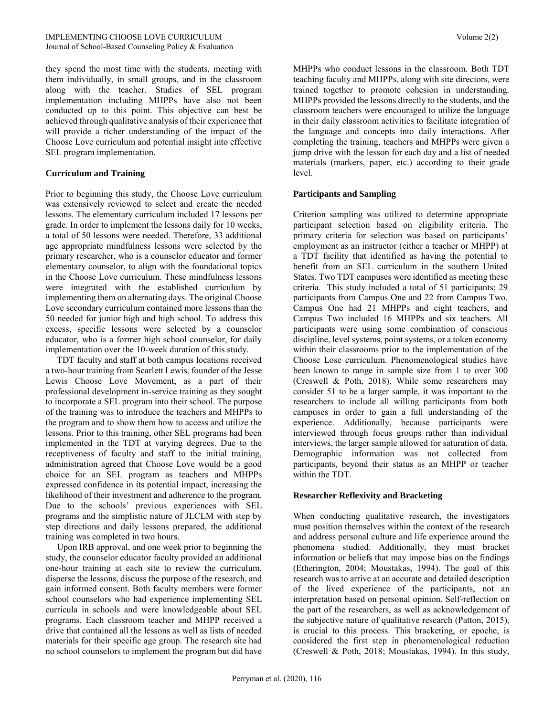they spend the most time with the students, meeting with them individually, in small groups, and in the classroom along with the teacher. Studies of SEL program implementation including MHPPs have also not been conducted up to this point. This objective can best be achieved through qualitative analysis of their experience that will provide a richer understanding of the impact of the Choose Love curriculum and potential insight into effective SEL program implementation.

#### **Curriculum and Training**

Prior to beginning this study, the Choose Love curriculum was extensively reviewed to select and create the needed lessons. The elementary curriculum included 17 lessons per grade. In order to implement the lessons daily for 10 weeks, a total of 50 lessons were needed. Therefore, 33 additional age appropriate mindfulness lessons were selected by the primary researcher, who is a counselor educator and former elementary counselor, to align with the foundational topics in the Choose Love curriculum. These mindfulness lessons were integrated with the established curriculum by implementing them on alternating days. The original Choose Love secondary curriculum contained more lessons than the 50 needed for junior high and high school. To address this excess, specific lessons were selected by a counselor educator, who is a former high school counselor, for daily implementation over the 10-week duration of this study.

 TDT faculty and staff at both campus locations received a two-hour training from Scarlett Lewis, founder of the Jesse Lewis Choose Love Movement, as a part of their professional development in-service training as they sought to incorporate a SEL program into their school. The purpose of the training was to introduce the teachers and MHPPs to the program and to show them how to access and utilize the lessons. Prior to this training, other SEL programs had been implemented in the TDT at varying degrees. Due to the receptiveness of faculty and staff to the initial training, administration agreed that Choose Love would be a good choice for an SEL program as teachers and MHPPs expressed confidence in its potential impact, increasing the likelihood of their investment and adherence to the program. Due to the schools' previous experiences with SEL programs and the simplistic nature of JLCLM with step by step directions and daily lessons prepared, the additional training was completed in two hours.

 Upon IRB approval, and one week prior to beginning the study, the counselor educator faculty provided an additional one-hour training at each site to review the curriculum, disperse the lessons, discuss the purpose of the research, and gain informed consent. Both faculty members were former school counselors who had experience implementing SEL curricula in schools and were knowledgeable about SEL programs. Each classroom teacher and MHPP received a drive that contained all the lessons as well as lists of needed materials for their specific age group. The research site had no school counselors to implement the program but did have

MHPPs who conduct lessons in the classroom. Both TDT teaching faculty and MHPPs, along with site directors, were trained together to promote cohesion in understanding. MHPPs provided the lessons directly to the students, and the classroom teachers were encouraged to utilize the language in their daily classroom activities to facilitate integration of the language and concepts into daily interactions. After completing the training, teachers and MHPPs were given a jump drive with the lesson for each day and a list of needed materials (markers, paper, etc.) according to their grade level.

## **Participants and Sampling**

Criterion sampling was utilized to determine appropriate participant selection based on eligibility criteria. The primary criteria for selection was based on participants' employment as an instructor (either a teacher or MHPP) at a TDT facility that identified as having the potential to benefit from an SEL curriculum in the southern United States. Two TDT campuses were identified as meeting these criteria. This study included a total of 51 participants; 29 participants from Campus One and 22 from Campus Two. Campus One had 21 MHPPs and eight teachers, and Campus Two included 16 MHPPs and six teachers. All participants were using some combination of conscious discipline, level systems, point systems, or a token economy within their classrooms prior to the implementation of the Choose Lose curriculum. Phenomenological studies have been known to range in sample size from 1 to over 300 (Creswell & Poth, 2018). While some researchers may consider 51 to be a larger sample, it was important to the researchers to include all willing participants from both campuses in order to gain a full understanding of the experience. Additionally, because participants were interviewed through focus groups rather than individual interviews, the larger sample allowed for saturation of data. Demographic information was not collected from participants, beyond their status as an MHPP or teacher within the TDT.

# **Researcher Reflexivity and Bracketing**

When conducting qualitative research, the investigators must position themselves within the context of the research and address personal culture and life experience around the phenomena studied. Additionally, they must bracket information or beliefs that may impose bias on the findings (Etherington, 2004; Moustakas, 1994). The goal of this research was to arrive at an accurate and detailed description of the lived experience of the participants, not an interpretation based on personal opinion. Self-reflection on the part of the researchers, as well as acknowledgement of the subjective nature of qualitative research (Patton, 2015), is crucial to this process. This bracketing, or epoche, is considered the first step in phenomenological reduction (Creswell & Poth, 2018; Moustakas, 1994). In this study,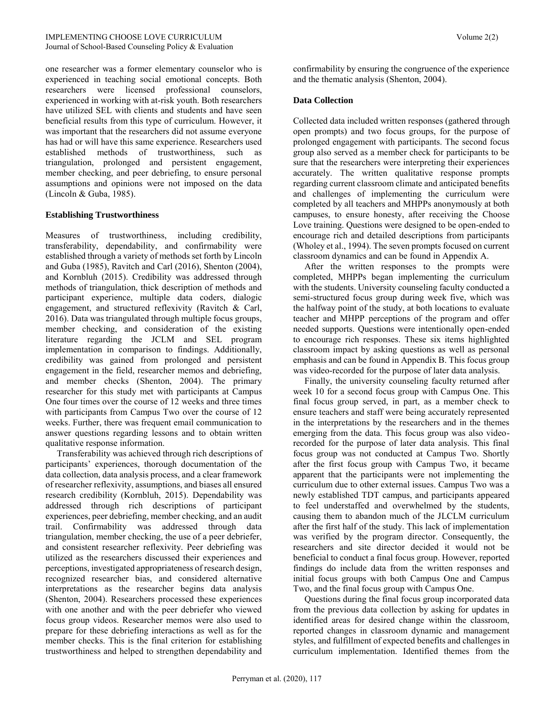one researcher was a former elementary counselor who is experienced in teaching social emotional concepts. Both researchers were licensed professional counselors, experienced in working with at-risk youth. Both researchers have utilized SEL with clients and students and have seen beneficial results from this type of curriculum. However, it was important that the researchers did not assume everyone has had or will have this same experience. Researchers used established methods of trustworthiness, such as triangulation, prolonged and persistent engagement, member checking, and peer debriefing, to ensure personal assumptions and opinions were not imposed on the data (Lincoln & Guba, 1985).

#### **Establishing Trustworthiness**

Measures of trustworthiness, including credibility, transferability, dependability, and confirmability were established through a variety of methods set forth by Lincoln and Guba (1985), Ravitch and Carl (2016), Shenton (2004), and Kornbluh (2015). Credibility was addressed through methods of triangulation, thick description of methods and participant experience, multiple data coders, dialogic engagement, and structured reflexivity (Ravitch & Carl, 2016). Data was triangulated through multiple focus groups, member checking, and consideration of the existing literature regarding the JCLM and SEL program implementation in comparison to findings. Additionally, credibility was gained from prolonged and persistent engagement in the field, researcher memos and debriefing, and member checks (Shenton, 2004). The primary researcher for this study met with participants at Campus One four times over the course of 12 weeks and three times with participants from Campus Two over the course of 12 weeks. Further, there was frequent email communication to answer questions regarding lessons and to obtain written qualitative response information.

 Transferability was achieved through rich descriptions of participants' experiences, thorough documentation of the data collection, data analysis process, and a clear framework of researcher reflexivity, assumptions, and biases all ensured research credibility (Kornbluh, 2015). Dependability was addressed through rich descriptions of participant experiences, peer debriefing, member checking, and an audit trail. Confirmability was addressed through data triangulation, member checking, the use of a peer debriefer, and consistent researcher reflexivity. Peer debriefing was utilized as the researchers discussed their experiences and perceptions, investigated appropriateness of research design, recognized researcher bias, and considered alternative interpretations as the researcher begins data analysis (Shenton, 2004). Researchers processed these experiences with one another and with the peer debriefer who viewed focus group videos. Researcher memos were also used to prepare for these debriefing interactions as well as for the member checks. This is the final criterion for establishing trustworthiness and helped to strengthen dependability and

confirmability by ensuring the congruence of the experience and the thematic analysis (Shenton, 2004).

#### **Data Collection**

Collected data included written responses (gathered through open prompts) and two focus groups, for the purpose of prolonged engagement with participants. The second focus group also served as a member check for participants to be sure that the researchers were interpreting their experiences accurately. The written qualitative response prompts regarding current classroom climate and anticipated benefits and challenges of implementing the curriculum were completed by all teachers and MHPPs anonymously at both campuses, to ensure honesty, after receiving the Choose Love training. Questions were designed to be open-ended to encourage rich and detailed descriptions from participants (Wholey et al., 1994). The seven prompts focused on current classroom dynamics and can be found in Appendix A.

 After the written responses to the prompts were completed, MHPPs began implementing the curriculum with the students. University counseling faculty conducted a semi-structured focus group during week five, which was the halfway point of the study, at both locations to evaluate teacher and MHPP perceptions of the program and offer needed supports. Questions were intentionally open-ended to encourage rich responses. These six items highlighted classroom impact by asking questions as well as personal emphasis and can be found in Appendix B. This focus group was video-recorded for the purpose of later data analysis.

 Finally, the university counseling faculty returned after week 10 for a second focus group with Campus One. This final focus group served, in part, as a member check to ensure teachers and staff were being accurately represented in the interpretations by the researchers and in the themes emerging from the data. This focus group was also videorecorded for the purpose of later data analysis. This final focus group was not conducted at Campus Two. Shortly after the first focus group with Campus Two, it became apparent that the participants were not implementing the curriculum due to other external issues. Campus Two was a newly established TDT campus, and participants appeared to feel understaffed and overwhelmed by the students, causing them to abandon much of the JLCLM curriculum after the first half of the study. This lack of implementation was verified by the program director. Consequently, the researchers and site director decided it would not be beneficial to conduct a final focus group. However, reported findings do include data from the written responses and initial focus groups with both Campus One and Campus Two, and the final focus group with Campus One.

 Questions during the final focus group incorporated data from the previous data collection by asking for updates in identified areas for desired change within the classroom, reported changes in classroom dynamic and management styles, and fulfillment of expected benefits and challenges in curriculum implementation. Identified themes from the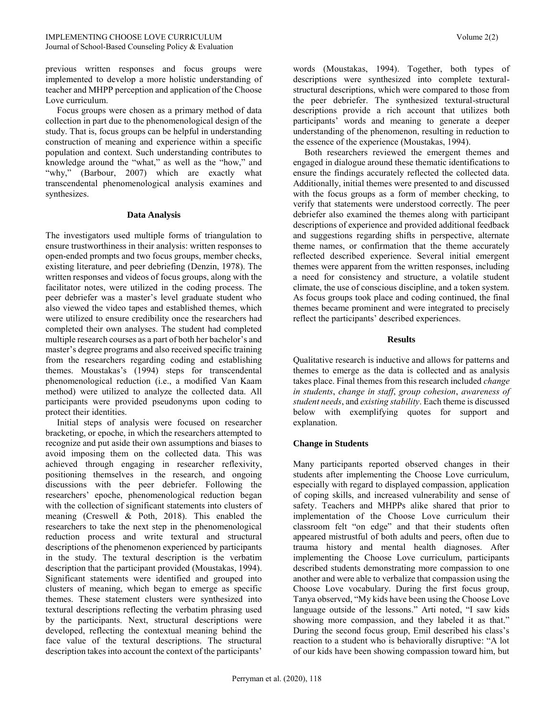previous written responses and focus groups were implemented to develop a more holistic understanding of teacher and MHPP perception and application of the Choose Love curriculum.

 Focus groups were chosen as a primary method of data collection in part due to the phenomenological design of the study. That is, focus groups can be helpful in understanding construction of meaning and experience within a specific population and context. Such understanding contributes to knowledge around the "what," as well as the "how," and "why," (Barbour, 2007) which are exactly what transcendental phenomenological analysis examines and synthesizes.

#### **Data Analysis**

The investigators used multiple forms of triangulation to ensure trustworthiness in their analysis: written responses to open-ended prompts and two focus groups, member checks, existing literature, and peer debriefing (Denzin, 1978). The written responses and videos of focus groups, along with the facilitator notes, were utilized in the coding process. The peer debriefer was a master's level graduate student who also viewed the video tapes and established themes, which were utilized to ensure credibility once the researchers had completed their own analyses. The student had completed multiple research courses as a part of both her bachelor's and master's degree programs and also received specific training from the researchers regarding coding and establishing themes. Moustakas's (1994) steps for transcendental phenomenological reduction (i.e., a modified Van Kaam method) were utilized to analyze the collected data. All participants were provided pseudonyms upon coding to protect their identities.

 Initial steps of analysis were focused on researcher bracketing, or epoche, in which the researchers attempted to recognize and put aside their own assumptions and biases to avoid imposing them on the collected data. This was achieved through engaging in researcher reflexivity, positioning themselves in the research, and ongoing discussions with the peer debriefer. Following the researchers' epoche, phenomenological reduction began with the collection of significant statements into clusters of meaning (Creswell & Poth, 2018). This enabled the researchers to take the next step in the phenomenological reduction process and write textural and structural descriptions of the phenomenon experienced by participants in the study. The textural description is the verbatim description that the participant provided (Moustakas, 1994). Significant statements were identified and grouped into clusters of meaning, which began to emerge as specific themes. These statement clusters were synthesized into textural descriptions reflecting the verbatim phrasing used by the participants. Next, structural descriptions were developed, reflecting the contextual meaning behind the face value of the textural descriptions. The structural description takes into account the context of the participants'

words (Moustakas, 1994). Together, both types of descriptions were synthesized into complete texturalstructural descriptions, which were compared to those from the peer debriefer. The synthesized textural-structural descriptions provide a rich account that utilizes both participants' words and meaning to generate a deeper understanding of the phenomenon, resulting in reduction to the essence of the experience (Moustakas, 1994).

 Both researchers reviewed the emergent themes and engaged in dialogue around these thematic identifications to ensure the findings accurately reflected the collected data. Additionally, initial themes were presented to and discussed with the focus groups as a form of member checking, to verify that statements were understood correctly. The peer debriefer also examined the themes along with participant descriptions of experience and provided additional feedback and suggestions regarding shifts in perspective, alternate theme names, or confirmation that the theme accurately reflected described experience. Several initial emergent themes were apparent from the written responses, including a need for consistency and structure, a volatile student climate, the use of conscious discipline, and a token system. As focus groups took place and coding continued, the final themes became prominent and were integrated to precisely reflect the participants' described experiences.

#### **Results**

Qualitative research is inductive and allows for patterns and themes to emerge as the data is collected and as analysis takes place. Final themes from this research included *change in students*, *change in staff*, *group cohesion*, *awareness of student needs*, and *existing stability*. Each theme is discussed below with exemplifying quotes for support and explanation.

#### **Change in Students**

Many participants reported observed changes in their students after implementing the Choose Love curriculum, especially with regard to displayed compassion, application of coping skills, and increased vulnerability and sense of safety. Teachers and MHPPs alike shared that prior to implementation of the Choose Love curriculum their classroom felt "on edge" and that their students often appeared mistrustful of both adults and peers, often due to trauma history and mental health diagnoses. After implementing the Choose Love curriculum, participants described students demonstrating more compassion to one another and were able to verbalize that compassion using the Choose Love vocabulary. During the first focus group, Tanya observed, "My kids have been using the Choose Love language outside of the lessons." Arti noted, "I saw kids showing more compassion, and they labeled it as that." During the second focus group, Emil described his class's reaction to a student who is behaviorally disruptive: "A lot of our kids have been showing compassion toward him, but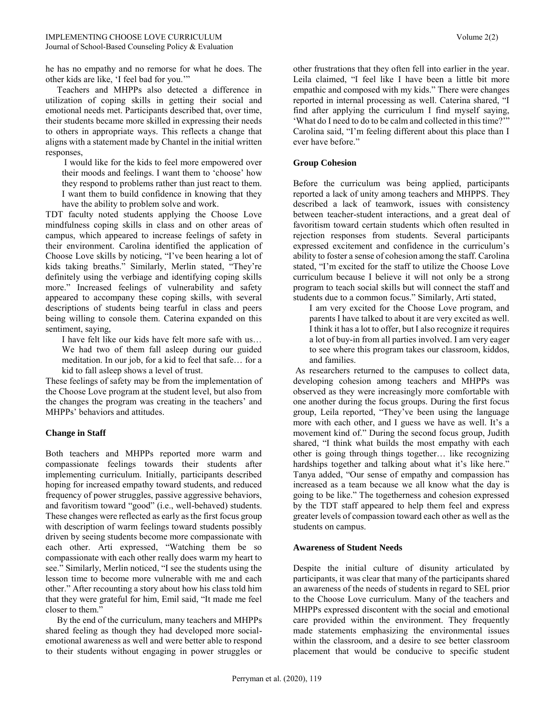he has no empathy and no remorse for what he does. The other kids are like, 'I feel bad for you.'"

 Teachers and MHPPs also detected a difference in utilization of coping skills in getting their social and emotional needs met. Participants described that, over time, their students became more skilled in expressing their needs to others in appropriate ways. This reflects a change that aligns with a statement made by Chantel in the initial written responses,

I would like for the kids to feel more empowered over their moods and feelings. I want them to 'choose' how they respond to problems rather than just react to them. I want them to build confidence in knowing that they have the ability to problem solve and work.

TDT faculty noted students applying the Choose Love mindfulness coping skills in class and on other areas of campus, which appeared to increase feelings of safety in their environment. Carolina identified the application of Choose Love skills by noticing, "I've been hearing a lot of kids taking breaths." Similarly, Merlin stated, "They're definitely using the verbiage and identifying coping skills more." Increased feelings of vulnerability and safety appeared to accompany these coping skills, with several descriptions of students being tearful in class and peers being willing to console them. Caterina expanded on this sentiment, saying,

I have felt like our kids have felt more safe with us… We had two of them fall asleep during our guided meditation. In our job, for a kid to feel that safe… for a kid to fall asleep shows a level of trust.

These feelings of safety may be from the implementation of the Choose Love program at the student level, but also from the changes the program was creating in the teachers' and MHPPs' behaviors and attitudes.

# **Change in Staff**

Both teachers and MHPPs reported more warm and compassionate feelings towards their students after implementing curriculum. Initially, participants described hoping for increased empathy toward students, and reduced frequency of power struggles, passive aggressive behaviors, and favoritism toward "good" (i.e., well-behaved) students. These changes were reflected as early as the first focus group with description of warm feelings toward students possibly driven by seeing students become more compassionate with each other. Arti expressed, "Watching them be so compassionate with each other really does warm my heart to see." Similarly, Merlin noticed, "I see the students using the lesson time to become more vulnerable with me and each other." After recounting a story about how his class told him that they were grateful for him, Emil said, "It made me feel closer to them."

 By the end of the curriculum, many teachers and MHPPs shared feeling as though they had developed more socialemotional awareness as well and were better able to respond to their students without engaging in power struggles or other frustrations that they often fell into earlier in the year. Leila claimed, "I feel like I have been a little bit more empathic and composed with my kids." There were changes reported in internal processing as well. Caterina shared, "I find after applying the curriculum I find myself saying, 'What do I need to do to be calm and collected in this time?'" Carolina said, "I'm feeling different about this place than I ever have before."

#### **Group Cohesion**

Before the curriculum was being applied, participants reported a lack of unity among teachers and MHPPS. They described a lack of teamwork, issues with consistency between teacher-student interactions, and a great deal of favoritism toward certain students which often resulted in rejection responses from students. Several participants expressed excitement and confidence in the curriculum's ability to foster a sense of cohesion among the staff. Carolina stated, "I'm excited for the staff to utilize the Choose Love curriculum because I believe it will not only be a strong program to teach social skills but will connect the staff and students due to a common focus." Similarly, Arti stated,

I am very excited for the Choose Love program, and parents I have talked to about it are very excited as well. I think it has a lot to offer, but I also recognize it requires a lot of buy-in from all parties involved. I am very eager to see where this program takes our classroom, kiddos, and families.

As researchers returned to the campuses to collect data, developing cohesion among teachers and MHPPs was observed as they were increasingly more comfortable with one another during the focus groups. During the first focus group, Leila reported, "They've been using the language more with each other, and I guess we have as well. It's a movement kind of." During the second focus group, Judith shared, "I think what builds the most empathy with each other is going through things together… like recognizing hardships together and talking about what it's like here." Tanya added, "Our sense of empathy and compassion has increased as a team because we all know what the day is going to be like." The togetherness and cohesion expressed by the TDT staff appeared to help them feel and express greater levels of compassion toward each other as well as the students on campus.

#### **Awareness of Student Needs**

Despite the initial culture of disunity articulated by participants, it was clear that many of the participants shared an awareness of the needs of students in regard to SEL prior to the Choose Love curriculum. Many of the teachers and MHPPs expressed discontent with the social and emotional care provided within the environment. They frequently made statements emphasizing the environmental issues within the classroom, and a desire to see better classroom placement that would be conducive to specific student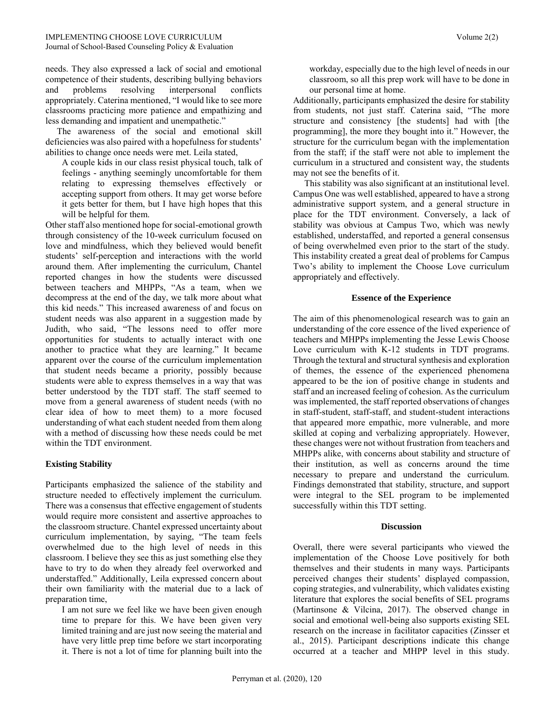needs. They also expressed a lack of social and emotional competence of their students, describing bullying behaviors and problems resolving interpersonal conflicts appropriately. Caterina mentioned, "I would like to see more classrooms practicing more patience and empathizing and less demanding and impatient and unempathetic."

 The awareness of the social and emotional skill deficiencies was also paired with a hopefulness for students' abilities to change once needs were met. Leila stated,

A couple kids in our class resist physical touch, talk of feelings - anything seemingly uncomfortable for them relating to expressing themselves effectively or accepting support from others. It may get worse before it gets better for them, but I have high hopes that this will be helpful for them.

Other staff also mentioned hope for social-emotional growth through consistency of the 10-week curriculum focused on love and mindfulness, which they believed would benefit students' self-perception and interactions with the world around them. After implementing the curriculum, Chantel reported changes in how the students were discussed between teachers and MHPPs, "As a team, when we decompress at the end of the day, we talk more about what this kid needs." This increased awareness of and focus on student needs was also apparent in a suggestion made by Judith, who said, "The lessons need to offer more opportunities for students to actually interact with one another to practice what they are learning." It became apparent over the course of the curriculum implementation that student needs became a priority, possibly because students were able to express themselves in a way that was better understood by the TDT staff. The staff seemed to move from a general awareness of student needs (with no clear idea of how to meet them) to a more focused understanding of what each student needed from them along with a method of discussing how these needs could be met within the TDT environment.

#### **Existing Stability**

Participants emphasized the salience of the stability and structure needed to effectively implement the curriculum. There was a consensus that effective engagement of students would require more consistent and assertive approaches to the classroom structure. Chantel expressed uncertainty about curriculum implementation, by saying, "The team feels overwhelmed due to the high level of needs in this classroom. I believe they see this as just something else they have to try to do when they already feel overworked and understaffed." Additionally, Leila expressed concern about their own familiarity with the material due to a lack of preparation time,

I am not sure we feel like we have been given enough time to prepare for this. We have been given very limited training and are just now seeing the material and have very little prep time before we start incorporating it. There is not a lot of time for planning built into the

workday, especially due to the high level of needs in our classroom, so all this prep work will have to be done in our personal time at home.

Additionally, participants emphasized the desire for stability from students, not just staff. Caterina said, "The more structure and consistency [the students] had with [the programming], the more they bought into it." However, the structure for the curriculum began with the implementation from the staff; if the staff were not able to implement the curriculum in a structured and consistent way, the students may not see the benefits of it.

 This stability was also significant at an institutional level. Campus One was well established, appeared to have a strong administrative support system, and a general structure in place for the TDT environment. Conversely, a lack of stability was obvious at Campus Two, which was newly established, understaffed, and reported a general consensus of being overwhelmed even prior to the start of the study. This instability created a great deal of problems for Campus Two's ability to implement the Choose Love curriculum appropriately and effectively.

#### **Essence of the Experience**

The aim of this phenomenological research was to gain an understanding of the core essence of the lived experience of teachers and MHPPs implementing the Jesse Lewis Choose Love curriculum with K-12 students in TDT programs. Through the textural and structural synthesis and exploration of themes, the essence of the experienced phenomena appeared to be the ion of positive change in students and staff and an increased feeling of cohesion. As the curriculum was implemented, the staff reported observations of changes in staff-student, staff-staff, and student-student interactions that appeared more empathic, more vulnerable, and more skilled at coping and verbalizing appropriately. However, these changes were not without frustration from teachers and MHPPs alike, with concerns about stability and structure of their institution, as well as concerns around the time necessary to prepare and understand the curriculum. Findings demonstrated that stability, structure, and support were integral to the SEL program to be implemented successfully within this TDT setting.

#### **Discussion**

Overall, there were several participants who viewed the implementation of the Choose Love positively for both themselves and their students in many ways. Participants perceived changes their students' displayed compassion, coping strategies, and vulnerability, which validates existing literature that explores the social benefits of SEL programs (Martinsone & Vilcina, 2017). The observed change in social and emotional well-being also supports existing SEL research on the increase in facilitator capacities (Zinsser et al., 2015). Participant descriptions indicate this change occurred at a teacher and MHPP level in this study.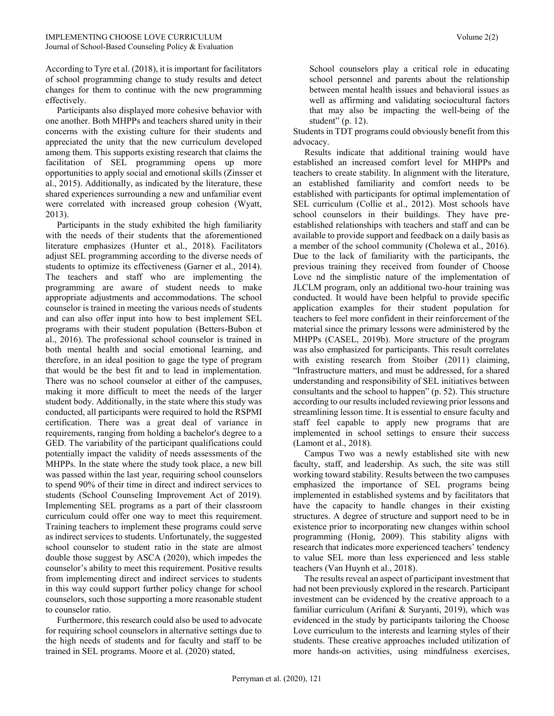According to Tyre et al. (2018), it is important for facilitators of school programming change to study results and detect changes for them to continue with the new programming effectively.

 Participants also displayed more cohesive behavior with one another. Both MHPPs and teachers shared unity in their concerns with the existing culture for their students and appreciated the unity that the new curriculum developed among them. This supports existing research that claims the facilitation of SEL programming opens up more opportunities to apply social and emotional skills (Zinsser et al., 2015). Additionally, as indicated by the literature, these shared experiences surrounding a new and unfamiliar event were correlated with increased group cohesion (Wyatt, 2013).

 Participants in the study exhibited the high familiarity with the needs of their students that the aforementioned literature emphasizes (Hunter et al., 2018). Facilitators adjust SEL programming according to the diverse needs of students to optimize its effectiveness (Garner et al., 2014). The teachers and staff who are implementing the programming are aware of student needs to make appropriate adjustments and accommodations. The school counselor is trained in meeting the various needs of students and can also offer input into how to best implement SEL programs with their student population (Betters-Bubon et al., 2016). The professional school counselor is trained in both mental health and social emotional learning, and therefore, in an ideal position to gage the type of program that would be the best fit and to lead in implementation. There was no school counselor at either of the campuses, making it more difficult to meet the needs of the larger student body. Additionally, in the state where this study was conducted, all participants were required to hold the RSPMI certification. There was a great deal of variance in requirements, ranging from holding a bachelor's degree to a GED. The variability of the participant qualifications could potentially impact the validity of needs assessments of the MHPPs. In the state where the study took place, a new bill was passed within the last year, requiring school counselors to spend 90% of their time in direct and indirect services to students (School Counseling Improvement Act of 2019). Implementing SEL programs as a part of their classroom curriculum could offer one way to meet this requirement. Training teachers to implement these programs could serve as indirect services to students. Unfortunately, the suggested school counselor to student ratio in the state are almost double those suggest by ASCA (2020), which impedes the counselor's ability to meet this requirement. Positive results from implementing direct and indirect services to students in this way could support further policy change for school counselors, such those supporting a more reasonable student to counselor ratio.

 Furthermore, this research could also be used to advocate for requiring school counselors in alternative settings due to the high needs of students and for faculty and staff to be trained in SEL programs. Moore et al. (2020) stated,

School counselors play a critical role in educating school personnel and parents about the relationship between mental health issues and behavioral issues as well as affirming and validating sociocultural factors that may also be impacting the well-being of the student" (p. 12).

Students in TDT programs could obviously benefit from this advocacy.

 Results indicate that additional training would have established an increased comfort level for MHPPs and teachers to create stability. In alignment with the literature, an established familiarity and comfort needs to be established with participants for optimal implementation of SEL curriculum (Collie et al., 2012). Most schools have school counselors in their buildings. They have preestablished relationships with teachers and staff and can be available to provide support and feedback on a daily basis as a member of the school community (Cholewa et al., 2016). Due to the lack of familiarity with the participants, the previous training they received from founder of Choose Love nd the simplistic nature of the implementation of JLCLM program, only an additional two-hour training was conducted. It would have been helpful to provide specific application examples for their student population for teachers to feel more confident in their reinforcement of the material since the primary lessons were administered by the MHPPs (CASEL, 2019b). More structure of the program was also emphasized for participants. This result correlates with existing research from Stoiber (2011) claiming, "Infrastructure matters, and must be addressed, for a shared understanding and responsibility of SEL initiatives between consultants and the school to happen" (p. 52). This structure according to our results included reviewing prior lessons and streamlining lesson time. It is essential to ensure faculty and staff feel capable to apply new programs that are implemented in school settings to ensure their success (Lamont et al., 2018).

 Campus Two was a newly established site with new faculty, staff, and leadership. As such, the site was still working toward stability. Results between the two campuses emphasized the importance of SEL programs being implemented in established systems and by facilitators that have the capacity to handle changes in their existing structures. A degree of structure and support need to be in existence prior to incorporating new changes within school programming (Honig, 2009). This stability aligns with research that indicates more experienced teachers' tendency to value SEL more than less experienced and less stable teachers (Van Huynh et al., 2018).

 The results reveal an aspect of participant investment that had not been previously explored in the research. Participant investment can be evidenced by the creative approach to a familiar curriculum (Arifani & Suryanti, 2019), which was evidenced in the study by participants tailoring the Choose Love curriculum to the interests and learning styles of their students. These creative approaches included utilization of more hands-on activities, using mindfulness exercises,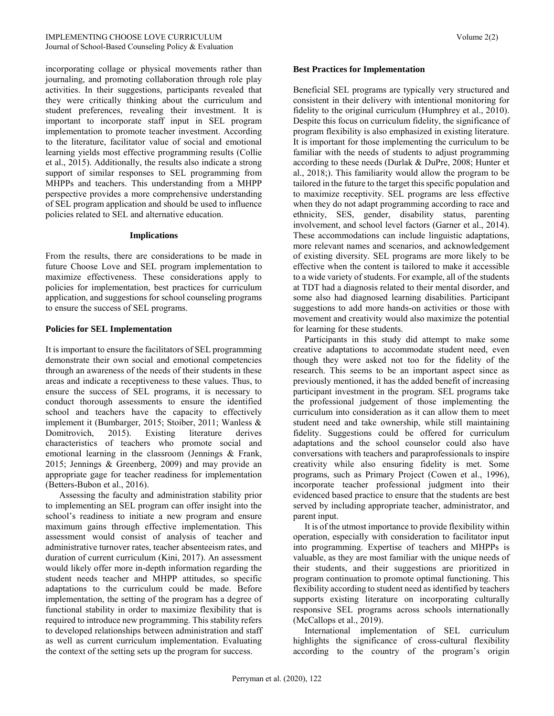incorporating collage or physical movements rather than journaling, and promoting collaboration through role play activities. In their suggestions, participants revealed that they were critically thinking about the curriculum and student preferences, revealing their investment. It is important to incorporate staff input in SEL program implementation to promote teacher investment. According to the literature, facilitator value of social and emotional learning yields most effective programming results (Collie et al., 2015). Additionally, the results also indicate a strong support of similar responses to SEL programming from MHPPs and teachers. This understanding from a MHPP perspective provides a more comprehensive understanding of SEL program application and should be used to influence policies related to SEL and alternative education.

#### **Implications**

From the results, there are considerations to be made in future Choose Love and SEL program implementation to maximize effectiveness. These considerations apply to policies for implementation, best practices for curriculum application, and suggestions for school counseling programs to ensure the success of SEL programs.

#### **Policies for SEL Implementation**

It is important to ensure the facilitators of SEL programming demonstrate their own social and emotional competencies through an awareness of the needs of their students in these areas and indicate a receptiveness to these values. Thus, to ensure the success of SEL programs, it is necessary to conduct thorough assessments to ensure the identified school and teachers have the capacity to effectively implement it (Bumbarger, 2015; Stoiber, 2011; Wanless & Domitrovich, 2015). Existing literature derives characteristics of teachers who promote social and emotional learning in the classroom (Jennings & Frank, 2015; Jennings & Greenberg, 2009) and may provide an appropriate gage for teacher readiness for implementation (Betters-Bubon et al., 2016).

 Assessing the faculty and administration stability prior to implementing an SEL program can offer insight into the school's readiness to initiate a new program and ensure maximum gains through effective implementation. This assessment would consist of analysis of teacher and administrative turnover rates, teacher absenteeism rates, and duration of current curriculum (Kini, 2017). An assessment would likely offer more in-depth information regarding the student needs teacher and MHPP attitudes, so specific adaptations to the curriculum could be made. Before implementation, the setting of the program has a degree of functional stability in order to maximize flexibility that is required to introduce new programming. This stability refers to developed relationships between administration and staff as well as current curriculum implementation. Evaluating the context of the setting sets up the program for success.

#### **Best Practices for Implementation**

Beneficial SEL programs are typically very structured and consistent in their delivery with intentional monitoring for fidelity to the original curriculum (Humphrey et al., 2010). Despite this focus on curriculum fidelity, the significance of program flexibility is also emphasized in existing literature. It is important for those implementing the curriculum to be familiar with the needs of students to adjust programming according to these needs (Durlak & DuPre, 2008; Hunter et al., 2018;). This familiarity would allow the program to be tailored in the future to the target this specific population and to maximize receptivity. SEL programs are less effective when they do not adapt programming according to race and ethnicity, SES, gender, disability status, parenting involvement, and school level factors (Garner et al., 2014). These accommodations can include linguistic adaptations, more relevant names and scenarios, and acknowledgement of existing diversity. SEL programs are more likely to be effective when the content is tailored to make it accessible to a wide variety of students. For example, all of the students at TDT had a diagnosis related to their mental disorder, and some also had diagnosed learning disabilities. Participant suggestions to add more hands-on activities or those with movement and creativity would also maximize the potential for learning for these students.

 Participants in this study did attempt to make some creative adaptations to accommodate student need, even though they were asked not too for the fidelity of the research. This seems to be an important aspect since as previously mentioned, it has the added benefit of increasing participant investment in the program. SEL programs take the professional judgement of those implementing the curriculum into consideration as it can allow them to meet student need and take ownership, while still maintaining fidelity. Suggestions could be offered for curriculum adaptations and the school counselor could also have conversations with teachers and paraprofessionals to inspire creativity while also ensuring fidelity is met. Some programs, such as Primary Project (Cowen et al., 1996), incorporate teacher professional judgment into their evidenced based practice to ensure that the students are best served by including appropriate teacher, administrator, and parent input.

 It is of the utmost importance to provide flexibility within operation, especially with consideration to facilitator input into programming. Expertise of teachers and MHPPs is valuable, as they are most familiar with the unique needs of their students, and their suggestions are prioritized in program continuation to promote optimal functioning. This flexibility according to student need as identified by teachers supports existing literature on incorporating culturally responsive SEL programs across schools internationally (McCallops et al., 2019).

 International implementation of SEL curriculum highlights the significance of cross-cultural flexibility according to the country of the program's origin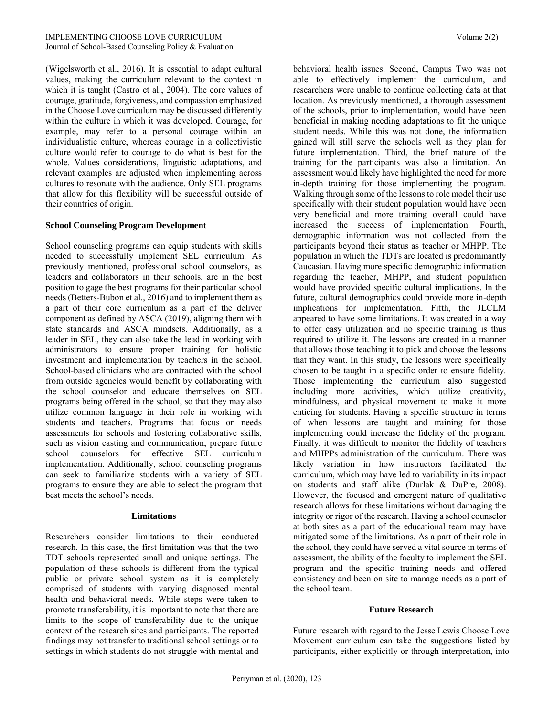(Wigelsworth et al., 2016). It is essential to adapt cultural values, making the curriculum relevant to the context in which it is taught (Castro et al., 2004). The core values of courage, gratitude, forgiveness, and compassion emphasized in the Choose Love curriculum may be discussed differently within the culture in which it was developed. Courage, for example, may refer to a personal courage within an individualistic culture, whereas courage in a collectivistic culture would refer to courage to do what is best for the whole. Values considerations, linguistic adaptations, and relevant examples are adjusted when implementing across cultures to resonate with the audience. Only SEL programs that allow for this flexibility will be successful outside of their countries of origin.

#### **School Counseling Program Development**

School counseling programs can equip students with skills needed to successfully implement SEL curriculum. As previously mentioned, professional school counselors, as leaders and collaborators in their schools, are in the best position to gage the best programs for their particular school needs (Betters-Bubon et al., 2016) and to implement them as a part of their core curriculum as a part of the deliver component as defined by ASCA (2019), aligning them with state standards and ASCA mindsets. Additionally, as a leader in SEL, they can also take the lead in working with administrators to ensure proper training for holistic investment and implementation by teachers in the school. School-based clinicians who are contracted with the school from outside agencies would benefit by collaborating with the school counselor and educate themselves on SEL programs being offered in the school, so that they may also utilize common language in their role in working with students and teachers. Programs that focus on needs assessments for schools and fostering collaborative skills, such as vision casting and communication, prepare future school counselors for effective SEL curriculum implementation. Additionally, school counseling programs can seek to familiarize students with a variety of SEL programs to ensure they are able to select the program that best meets the school's needs.

#### **Limitations**

Researchers consider limitations to their conducted research. In this case, the first limitation was that the two TDT schools represented small and unique settings. The population of these schools is different from the typical public or private school system as it is completely comprised of students with varying diagnosed mental health and behavioral needs. While steps were taken to promote transferability, it is important to note that there are limits to the scope of transferability due to the unique context of the research sites and participants. The reported findings may not transfer to traditional school settings or to settings in which students do not struggle with mental and behavioral health issues. Second, Campus Two was not able to effectively implement the curriculum, and researchers were unable to continue collecting data at that location. As previously mentioned, a thorough assessment of the schools, prior to implementation, would have been beneficial in making needing adaptations to fit the unique student needs. While this was not done, the information gained will still serve the schools well as they plan for future implementation. Third, the brief nature of the training for the participants was also a limitation. An assessment would likely have highlighted the need for more in-depth training for those implementing the program. Walking through some of the lessons to role model their use specifically with their student population would have been very beneficial and more training overall could have increased the success of implementation. Fourth, demographic information was not collected from the participants beyond their status as teacher or MHPP. The population in which the TDTs are located is predominantly Caucasian. Having more specific demographic information regarding the teacher, MHPP, and student population would have provided specific cultural implications. In the future, cultural demographics could provide more in-depth implications for implementation. Fifth, the JLCLM appeared to have some limitations. It was created in a way to offer easy utilization and no specific training is thus required to utilize it. The lessons are created in a manner that allows those teaching it to pick and choose the lessons that they want. In this study, the lessons were specifically chosen to be taught in a specific order to ensure fidelity. Those implementing the curriculum also suggested including more activities, which utilize creativity, mindfulness, and physical movement to make it more enticing for students. Having a specific structure in terms of when lessons are taught and training for those implementing could increase the fidelity of the program. Finally, it was difficult to monitor the fidelity of teachers and MHPPs administration of the curriculum. There was likely variation in how instructors facilitated the curriculum, which may have led to variability in its impact on students and staff alike (Durlak & DuPre, 2008). However, the focused and emergent nature of qualitative research allows for these limitations without damaging the integrity or rigor of the research. Having a school counselor at both sites as a part of the educational team may have mitigated some of the limitations. As a part of their role in the school, they could have served a vital source in terms of assessment, the ability of the faculty to implement the SEL program and the specific training needs and offered consistency and been on site to manage needs as a part of the school team.

#### **Future Research**

Future research with regard to the Jesse Lewis Choose Love Movement curriculum can take the suggestions listed by participants, either explicitly or through interpretation, into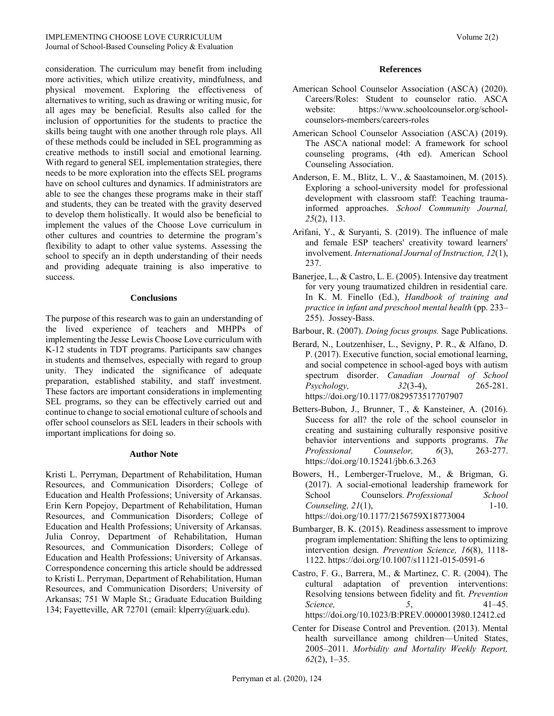consideration. The curriculum may benefit from including more activities, which utilize creativity, mindfulness, and physical movement. Exploring the effectiveness of alternatives to writing, such as drawing or writing music, for all ages may be beneficial. Results also called for the inclusion of opportunities for the students to practice the skills being taught with one another through role plays. All of these methods could be included in SEL programming as creative methods to instill social and emotional learning. With regard to general SEL implementation strategies, there needs to be more exploration into the effects SEL programs have on school cultures and dynamics. If administrators are able to see the changes these programs make in their staff and students, they can be treated with the gravity deserved to develop them holistically. It would also be beneficial to implement the values of the Choose Love curriculum in other cultures and countries to determine the program's flexibility to adapt to other value systems. Assessing the school to specify an in depth understanding of their needs and providing adequate training is also imperative to success.

#### **Conclusions**

The purpose of this research was to gain an understanding of the lived experience of teachers and MHPPs of implementing the Jesse Lewis Choose Love curriculum with K-12 students in TDT programs. Participants saw changes in students and themselves, especially with regard to group unity. They indicated the significance of adequate preparation, established stability, and staff investment. These factors are important considerations in implementing SEL programs, so they can be effectively carried out and continue to change to social emotional culture of schools and offer school counselors as SEL leaders in their schools with important implications for doing so.

#### **Author Note**

Kristi L. Perryman, Department of Rehabilitation, Human Resources, and Communication Disorders; College of Education and Health Professions; University of Arkansas. Erin Kern Popejoy, Department of Rehabilitation, Human Resources, and Communication Disorders; College of Education and Health Professions; University of Arkansas. Julia Conroy, Department of Rehabilitation, Human Resources, and Communication Disorders; College of Education and Health Professions; University of Arkansas. Correspondence concerning this article should be addressed to Kristi L. Perryman, Department of Rehabilitation, Human Resources, and Communication Disorders; University of Arkansas; 751 W Maple St.; Graduate Education Building 134; Fayetteville, AR 72701 (email: klperry@uark.edu).

#### **References**

- American School Counselor Association (ASCA) (2020). Careers/Roles: Student to counselor ratio. ASCA website: [https://www.schoolcounselor.org/school](https://www.schoolcounselor.org/school-counselors-members/careers-roles)[counselors-members/careers-roles](https://www.schoolcounselor.org/school-counselors-members/careers-roles)
- American School Counselor Association (ASCA) (2019). The ASCA national model: A framework for school counseling programs, (4th ed). American School Counseling Association.
- Anderson, E. M., Blitz, L. V., & Saastamoinen, M. (2015). Exploring a school-university model for professional development with classroom staff: Teaching traumainformed approaches. *School Community Journal, 25*(2), 113.
- Arifani, Y., & Suryanti, S. (2019). The influence of male and female ESP teachers' creativity toward learners' involvement. *International Journal of Instruction, 12*(1), 237.
- Banerjee, L., & Castro, L. E. (2005). Intensive day treatment for very young traumatized children in residential care. In K. M. Finello (Ed.), *Handbook of training and practice in infant and preschool mental health* (pp. 233– 255). Jossey-Bass.
- Barbour, R. (2007). *Doing focus groups.* Sage Publications.
- Berard, N., Loutzenhiser, L., Sevigny, P. R., & Alfano, D. P. (2017). Executive function, social emotional learning, and social competence in school-aged boys with autism spectrum disorder. *Canadian Journal of School Psychology, 32*(3-4), 265-281. <https://doi.org/10.1177/0829573517707907>
- Betters-Bubon, J., Brunner, T., & Kansteiner, A. (2016). Success for all? the role of the school counselor in creating and sustaining culturally responsive positive behavior interventions and supports programs. *The Professional Counselor, 6*(3), 263-277. <https://doi.org/10.15241/jbb.6.3.263>
- Bowers, H., Lemberger-Truelove, M., & Brigman, G. (2017). A social-emotional leadership framework for School Counselors. *Professional School Counseling,* 2*1*(1), 1-10. <https://doi.org/10.1177/2156759X18773004>
- Bumbarger, B. K. (2015). Readiness assessment to improve program implementation: Shifting the lens to optimizing intervention design. *Prevention Science, 16*(8), 1118- 1122[. https://doi.org/10.1007/s11121-015-0591-6](https://doi.org/10.1007/s11121-015-0591-6)
- Castro, F. G., Barrera, M., & Martinez, C. R. (2004). The cultural adaptation of prevention interventions: Resolving tensions between fidelity and fit. *Prevention Science, 5*, 41–45. <https://doi.org/10.1023/B:PREV.0000013980.12412.cd>
- Center for Disease Control and Prevention. (2013). Mental health surveillance among children—United States, 2005–2011. *Morbidity and Mortality Weekly Report, 62*(2), 1–35.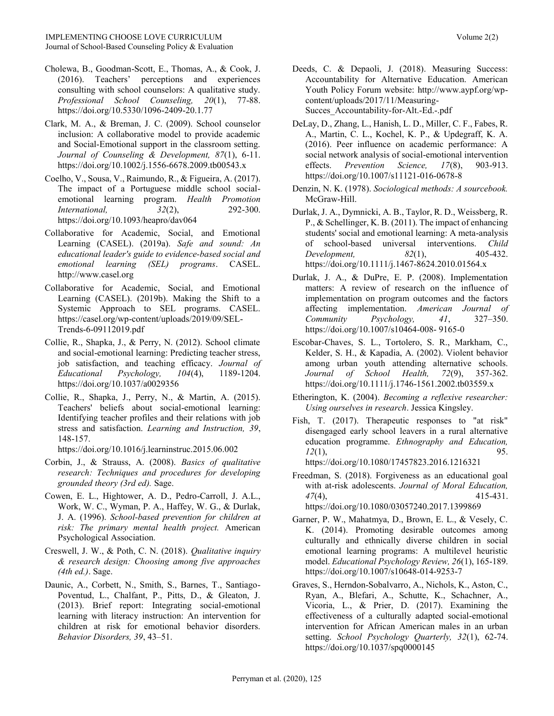- Cholewa, B., Goodman-Scott, E., Thomas, A., & Cook, J. (2016). Teachers' perceptions and experiences consulting with school counselors: A qualitative study. *Professional School Counseling, 20*(1), 77-88. https://doi.org/10.5330/1096-2409-20.1.77
- Clark, M. A., & Breman, J. C. (2009). School counselor inclusion: A collaborative model to provide academic and Social‐Emotional support in the classroom setting. *Journal of Counseling & Development, 87*(1), 6-11. https://doi.org/10.1002/j.1556-6678.2009.tb00543.x
- Coelho, V., Sousa, V., Raimundo, R., & Figueira, A. (2017). The impact of a Portuguese middle school socialemotional learning program. *Health Promotion International, 32*(2), 292-300. https://doi.org/10.1093/heapro/dav064
- Collaborative for Academic, Social, and Emotional Learning (CASEL). (2019a). *Safe and sound: An educational leader's guide to evidence‐based social and emotional learning (SEL) programs*. CASEL. http://www.casel.org
- Collaborative for Academic, Social, and Emotional Learning (CASEL). (2019b). Making the Shift to a Systemic Approach to SEL programs. CASEL. [https://casel.org/wp-content/uploads/2019/09/SEL-](https://casel.org/wp-content/uploads/2019/09/SEL-Trends-6-09112019.pdf)[Trends-6-09112019.pdf](https://casel.org/wp-content/uploads/2019/09/SEL-Trends-6-09112019.pdf)
- Collie, R., Shapka, J., & Perry, N. (2012). School climate and social-emotional learning: Predicting teacher stress, job satisfaction, and teaching efficacy. *Journal of Educational Psychology, 104*(4), 1189-1204. <https://doi.org/10.1037/a0029356>
- Collie, R., Shapka, J., Perry, N., & Martin, A. (2015). Teachers' beliefs about social-emotional learning: Identifying teacher profiles and their relations with job stress and satisfaction. *Learning and Instruction, 39*, 148-157.

<https://doi.org/10.1016/j.learninstruc.2015.06.002>

- Corbin, J., & Strauss, A. (2008). *Basics of qualitative research: Techniques and procedures for developing grounded theory (3rd ed).* Sage.
- Cowen, E. L., Hightower, A. D., Pedro-Carroll, J. A.L., Work, W. C., Wyman, P. A., Haffey, W. G., & Durlak, J. A. (1996). *School-based prevention for children at risk: The primary mental health project.* American Psychological Association.
- Creswell, J. W., & Poth, C. N. (2018). *Qualitative inquiry & research design: Choosing among five approaches (4th ed.)*. Sage.
- Daunic, A., Corbett, N., Smith, S., Barnes, T., Santiago-Poventud, L., Chalfant, P., Pitts, D., & Gleaton, J. (2013). Brief report: Integrating social-emotional learning with literacy instruction: An intervention for children at risk for emotional behavior disorders. *Behavior Disorders, 39*, 43–51.
- Deeds, C. & Depaoli, J. (2018). Measuring Success: Accountability for Alternative Education. American Youth Policy Forum website: [http://www.aypf.org/wp](http://www.aypf.org/wp-content/uploads/2017/11/Measuring-Succes_Accountability-for-Alt.-Ed.-.pdf)[content/uploads/2017/11/Measuring-](http://www.aypf.org/wp-content/uploads/2017/11/Measuring-Succes_Accountability-for-Alt.-Ed.-.pdf)[Succes\\_Accountability-for-Alt.-Ed.-.pdf](http://www.aypf.org/wp-content/uploads/2017/11/Measuring-Succes_Accountability-for-Alt.-Ed.-.pdf)
- DeLay, D., Zhang, L., Hanish, L. D., Miller, C. F., Fabes, R. A., Martin, C. L., Kochel, K. P., & Updegraff, K. A. (2016). Peer influence on academic performance: A social network analysis of social-emotional intervention effects. *Prevention Science, 17*(8), 903-913. <https://doi.org/10.1007/s11121-016-0678-8>
- Denzin, N. K. (1978). *Sociological methods: A sourcebook.* McGraw-Hill.
- Durlak, J. A., Dymnicki, A. B., Taylor, R. D., Weissberg, R. P., & Schellinger, K. B. (2011). The impact of enhancing students' social and emotional learning: A meta-analysis of school-based universal interventions. *Child Development, 82*(1), 405-432. <https://doi.org/10.1111/j.1467-8624.2010.01564.x>
- Durlak, J. A., & DuPre, E. P. (2008). Implementation matters: A review of research on the influence of implementation on program outcomes and the factors affecting implementation. *American Journal of Community Psychology, 41*, 327–350. [https://doi.org/10.1007/s10464-008-](https://doi.org/10.1007/s10464-008-%209165-0) 9165-0
- Escobar‐Chaves, S. L., Tortolero, S. R., Markham, C., Kelder, S. H., & Kapadia, A. (2002). Violent behavior among urban youth attending alternative schools. *Journal of School Health, 72*(9), 357-362. <https://doi.org/10.1111/j.1746-1561.2002.tb03559.x>
- Etherington, K. (2004). *Becoming a reflexive researcher: Using ourselves in research*. Jessica Kingsley.
- Fish, T. (2017). Therapeutic responses to "at risk" disengaged early school leavers in a rural alternative education programme. *Ethnography and Education, 12*(1), 95.

<https://doi.org/10.1080/17457823.2016.1216321>

- Freedman, S. (2018). Forgiveness as an educational goal with at-risk adolescents. *Journal of Moral Education, 47*(4), 415-431. <https://doi.org/10.1080/03057240.2017.1399869>
- Garner, P. W., Mahatmya, D., Brown, E. L., & Vesely, C. K. (2014). Promoting desirable outcomes among culturally and ethnically diverse children in social emotional learning programs: A multilevel heuristic model. *Educational Psychology Review, 26*(1), 165-189. <https://doi.org/10.1007/s10648-014-9253-7>
- Graves, S., Herndon-Sobalvarro, A., Nichols, K., Aston, C., Ryan, A., Blefari, A., Schutte, K., Schachner, A., Vicoria, L., & Prier, D. (2017). Examining the effectiveness of a culturally adapted social-emotional intervention for African American males in an urban setting. *School Psychology Quarterly, 32*(1), 62-74. <https://doi.org/10.1037/spq0000145>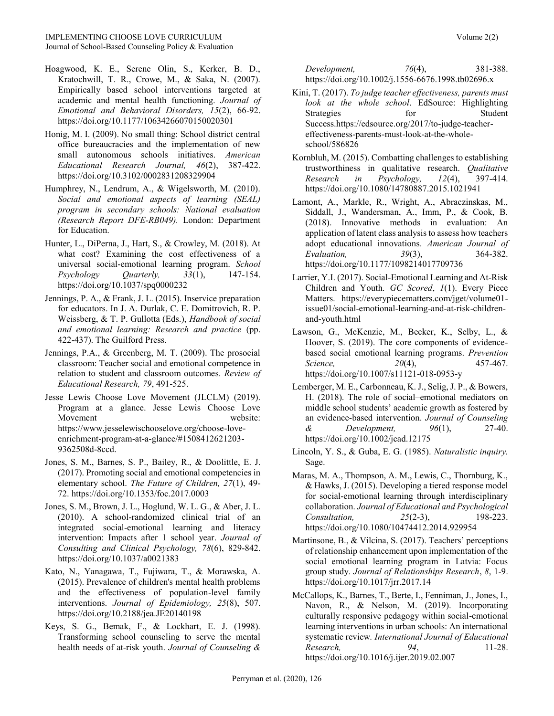Journal of School-Based Counseling Policy & Evaluation

- Hoagwood, K. E., Serene Olin, S., Kerker, B. D., Kratochwill, T. R., Crowe, M., & Saka, N. (2007). Empirically based school interventions targeted at academic and mental health functioning. *Journal of Emotional and Behavioral Disorders, 15*(2), 66-92. <https://doi.org/10.1177/10634266070150020301>
- Honig, M. I. (2009). No small thing: School district central office bureaucracies and the implementation of new small autonomous schools initiatives. *American Educational Research Journal, 46*(2), 387-422. <https://doi.org/10.3102/0002831208329904>
- Humphrey, N., Lendrum, A., & Wigelsworth, M. (2010). *Social and emotional aspects of learning (SEAL) program in secondary schools: National evaluation (Research Report DFE‐RB049).* London: Department for Education.
- Hunter, L., DiPerna, J., Hart, S., & Crowley, M. (2018). At what cost? Examining the cost effectiveness of a universal social-emotional learning program. *School Psychology Quarterly, 33*(1), 147-154. <https://doi.org/10.1037/spq0000232>
- Jennings, P. A., & Frank, J. L. (2015). Inservice preparation for educators. In J. A. Durlak, C. E. Domitrovich, R. P. Weissberg, & T. P. Gullotta (Eds.), *Handbook of social and emotional learning: Research and practice* (pp. 422-437). The Guilford Press.
- Jennings, P.A., & Greenberg, M. T. (2009). The prosocial classroom: Teacher social and emotional competence in relation to student and classroom outcomes. *Review of Educational Research, 79*, 491-525.
- Jesse Lewis Choose Love Movement (JLCLM) (2019). Program at a glance. Jesse Lewis Choose Love Movement website: [https://www.jesselewischooselove.org/choose-love](https://www.jesselewischooselove.org/choose-love-enrichment-program-at-a-glance/#1508412621203-9362508d-8ccd)[enrichment-program-at-a-glance/#1508412621203-](https://www.jesselewischooselove.org/choose-love-enrichment-program-at-a-glance/#1508412621203-9362508d-8ccd) [9362508d-8ccd.](https://www.jesselewischooselove.org/choose-love-enrichment-program-at-a-glance/#1508412621203-9362508d-8ccd)
- Jones, S. M., Barnes, S. P., Bailey, R., & Doolittle, E. J. (2017). Promoting social and emotional competencies in elementary school. *The Future of Children, 27*(1), 49- 72.<https://doi.org/10.1353/foc.2017.0003>
- Jones, S. M., Brown, J. L., Hoglund, W. L. G., & Aber, J. L. (2010). A school-randomized clinical trial of an integrated social-emotional learning and literacy intervention: Impacts after 1 school year. *Journal of Consulting and Clinical Psychology, 78*(6), 829-842. https://doi.org/10.1037/a0021383
- Kato, N., Yanagawa, T., Fujiwara, T., & Morawska, A. (2015). Prevalence of children's mental health problems and the effectiveness of population-level family interventions. *Journal of Epidemiology, 25*(8), 507. <https://doi.org/10.2188/jea.JE20140198>
- Keys, S. G., Bemak, F., & Lockhart, E. J. (1998). Transforming school counseling to serve the mental health needs of at‐risk youth. *Journal of Counseling &*

*Development, 76*(4), 381-388. <https://doi.org/10.1002/j.1556-6676.1998.tb02696.x>

- Kini, T. (2017). *To judge teacher effectiveness, parents must look at the whole school*. EdSource: Highlighting Strategies for Student Succes[s.https://edsource.org/2017/to-judge-teacher](https://edsource.org/2017/to-judge-teacher-effectiveness-parents-must-look-at-the-whole-school/586826)[effectiveness-parents-must-look-at-the-whole](https://edsource.org/2017/to-judge-teacher-effectiveness-parents-must-look-at-the-whole-school/586826)[school/586826](https://edsource.org/2017/to-judge-teacher-effectiveness-parents-must-look-at-the-whole-school/586826)
- Kornbluh, M. (2015). Combatting challenges to establishing trustworthiness in qualitative research. *Qualitative Research in Psychology, 12*(4), 397-414. <https://doi.org/10.1080/14780887.2015.1021941>
- Lamont, A., Markle, R., Wright, A., Abraczinskas, M., Siddall, J., Wandersman, A., Imm, P., & Cook, B. (2018). Innovative methods in evaluation: An application of latent class analysis to assess how teachers adopt educational innovations. *American Journal of Evaluation, 39*(3), 364-382. <https://doi.org/10.1177/1098214017709736>
- Larrier, Y.I. (2017). Social-Emotional Learning and At-Risk Children and Youth. *GC Scored*, *1*(1). Every Piece Matters. [https://everypiecematters.com/jget/volume01](https://everypiecematters.com/jget/volume01-issue01/social-emotional-learning-and-at-risk-children-and-youth.html) [issue01/social-emotional-learning-and-at-risk-children](https://everypiecematters.com/jget/volume01-issue01/social-emotional-learning-and-at-risk-children-and-youth.html)[and-youth.html](https://everypiecematters.com/jget/volume01-issue01/social-emotional-learning-and-at-risk-children-and-youth.html)
- Lawson, G., McKenzie, M., Becker, K., Selby, L., & Hoover, S. (2019). The core components of evidencebased social emotional learning programs. *Prevention Science,* 20(4), 457-467. <https://doi.org/10.1007/s11121-018-0953-y>
- Lemberger, M. E., Carbonneau, K. J., Selig, J. P., & Bowers, H. (2018). The role of social–emotional mediators on middle school students' academic growth as fostered by an evidence‐based intervention. *Journal of Counseling & Development, 96*(1), 27-40. <https://doi.org/10.1002/jcad.12175>
- Lincoln, Y. S., & Guba, E. G. (1985). *Naturalistic inquiry.* Sage.
- Maras, M. A., Thompson, A. M., Lewis, C., Thornburg, K., & Hawks, J. (2015). Developing a tiered response model for social-emotional learning through interdisciplinary collaboration. *Journal of Educational and Psychological Consultation, 25*(2-3), 198-223. <https://doi.org/10.1080/10474412.2014.929954>
- Martinsone, B., & Vilcina, S. (2017). Teachers' perceptions of relationship enhancement upon implementation of the social emotional learning program in Latvia: Focus group study. *Journal of Relationships Research*, *8*, 1-9. <https://doi.org/10.1017/jrr.2017.14>
- McCallops, K., Barnes, T., Berte, I., Fenniman, J., Jones, I., Navon, R., & Nelson, M. (2019). Incorporating culturally responsive pedagogy within social-emotional learning interventions in urban schools: An international systematic review*. International Journal of Educational Research, 94*, 11-28. <https://doi.org/10.1016/j.ijer.2019.02.007>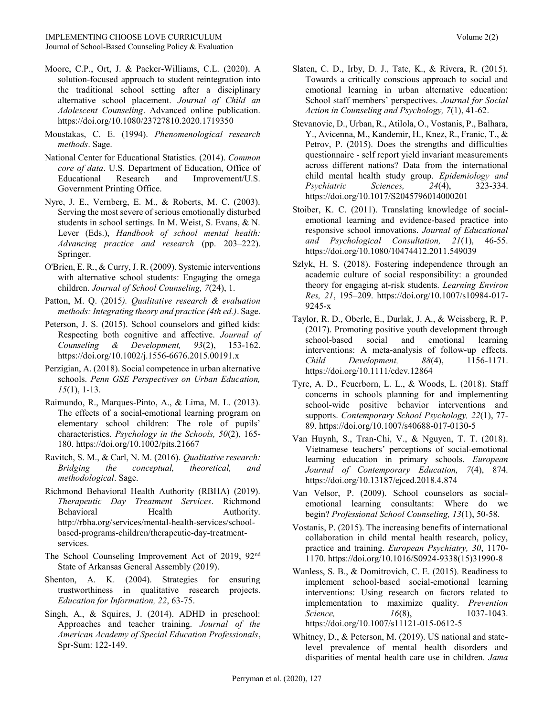- Moore, C.P., Ort, J. & Packer-Williams, C.L. (2020). A solution-focused approach to student reintegration into the traditional school setting after a disciplinary alternative school placement. *Journal of Child an Adolescent Counseling*. Advanced online publication. <https://doi.org/10.1080/23727810.2020.1719350>
- Moustakas, C. E. (1994). *Phenomenological research methods*. Sage.
- National Center for Educational Statistics. (2014). *Common core of data*. U.S. Department of Education, Office of Educational Research and Improvement/U.S. Government Printing Office.
- Nyre, J. E., Vernberg, E. M., & Roberts, M. C. (2003). Serving the most severe of serious emotionally disturbed students in school settings. In M. Weist, S. Evans, & N. Lever (Eds.), *Handbook of school mental health: Advancing practice and research* (pp. 203–222). Springer.
- O'Brien, E. R., & Curry, J. R. (2009). Systemic interventions with alternative school students: Engaging the omega children. *Journal of School Counseling, 7*(24), 1.
- Patton, M. Q. (2015*). Qualitative research & evaluation methods: Integrating theory and practice (4th ed.)*. Sage.
- Peterson, J. S. (2015). School counselors and gifted kids: Respecting both cognitive and affective. *Journal of Counseling & Development, 93*(2), 153-162. <https://doi.org/10.1002/j.1556-6676.2015.00191.x>
- Perzigian, A. (2018). Social competence in urban alternative schools. *Penn GSE Perspectives on Urban Education, 15*(1), 1-13.
- Raimundo, R., Marques-Pinto, A., & Lima, M. L. (2013). The effects of a social-emotional learning program on elementary school children: The role of pupils' characteristics. *Psychology in the Schools, 50*(2), 165- 180.<https://doi.org/10.1002/pits.21667>
- Ravitch, S. M., & Carl, N. M. (2016). *Qualitative research: Bridging the conceptual, theoretical, and methodological*. Sage.
- Richmond Behavioral Health Authority (RBHA) (2019). *Therapeutic Day Treatment Services*. Richmond Behavioral Health Authority. [http://rbha.org/services/mental-health-services/school](http://rbha.org/services/mental-health-services/school-based-programs-children/therapeutic-day-treatment-services)[based-programs-children/therapeutic-day-treatment](http://rbha.org/services/mental-health-services/school-based-programs-children/therapeutic-day-treatment-services)[services.](http://rbha.org/services/mental-health-services/school-based-programs-children/therapeutic-day-treatment-services)
- The School Counseling Improvement Act of 2019, 92<sup>nd</sup> State of Arkansas General Assembly (2019).
- Shenton, A. K. (2004). Strategies for ensuring trustworthiness in qualitative research projects. *Education for Information, 22*, 63-75.
- Singh, A., & Squires, J. (2014). ADHD in preschool: Approaches and teacher training. *Journal of the American Academy of Special Education Professionals*, Spr-Sum: 122-149.
- Slaten, C. D., Irby, D. J., Tate, K., & Rivera, R. (2015). Towards a critically conscious approach to social and emotional learning in urban alternative education: School staff members' perspectives. *Journal for Social Action in Counseling and Psychology, 7*(1), 41-62.
- Stevanovic, D., Urban, R., Atilola, O., Vostanis, P., Balhara, Y., Avicenna, M., Kandemir, H., Knez, R., Franic, T., & Petrov, P. (2015). Does the strengths and difficulties questionnaire - self report yield invariant measurements across different nations? Data from the international child mental health study group. *Epidemiology and Psychiatric Sciences, 24*(4), 323-334. <https://doi.org/10.1017/S2045796014000201>
- Stoiber, K. C. (2011). Translating knowledge of socialemotional learning and evidence-based practice into responsive school innovations. *Journal of Educational and Psychological Consultation, 21*(1), 46-55. <https://doi.org/10.1080/10474412.2011.549039>
- Szlyk, H. S. (2018). Fostering independence through an academic culture of social responsibility: a grounded theory for engaging at-risk students. *Learning Environ Res, 21*, 195–209. [https://doi.org/10.1007/s10984-017-](https://doi.org/10.1007/s10984-017-9245-x) [9245-x](https://doi.org/10.1007/s10984-017-9245-x)
- Taylor, R. D., Oberle, E., Durlak, J. A., & Weissberg, R. P. (2017). Promoting positive youth development through school-based social and emotional learning interventions: A meta-analysis of follow-up effects. *Child Development, 88*(4), 1156-1171. <https://doi.org/10.1111/cdev.12864>
- Tyre, A. D., Feuerborn, L. L., & Woods, L. (2018). Staff concerns in schools planning for and implementing school-wide positive behavior interventions and supports. *Contemporary School Psychology, 22*(1), 77- 89[. https://doi.org/10.1007/s40688-017-0130-5](https://doi.org/10.1007/s40688-017-0130-5)
- Van Huynh, S., Tran-Chi, V., & Nguyen, T. T. (2018). Vietnamese teachers' perceptions of social-emotional learning education in primary schools. *European Journal of Contemporary Education, 7*(4), 874. https://doi.org/10.13187/ejced.2018.4.874
- Van Velsor, P. (2009). School counselors as socialemotional learning consultants: Where do we begin? *Professional School Counseling, 13*(1), 50-58.
- Vostanis, P. (2015). The increasing benefits of international collaboration in child mental health research, policy, practice and training. *European Psychiatry, 30*, 1170- 1170[. https://doi.org/10.1016/S0924-9338\(15\)31990-8](https://doi.org/10.1016/S0924-9338(15)31990-8)
- Wanless, S. B., & Domitrovich, C. E. (2015). Readiness to implement school-based social-emotional learning interventions: Using research on factors related to implementation to maximize quality. *Prevention Science. 16*(8), 1037-1043. <https://doi.org/10.1007/s11121-015-0612-5>
- Whitney, D., & Peterson, M. (2019). US national and statelevel prevalence of mental health disorders and disparities of mental health care use in children. *Jama*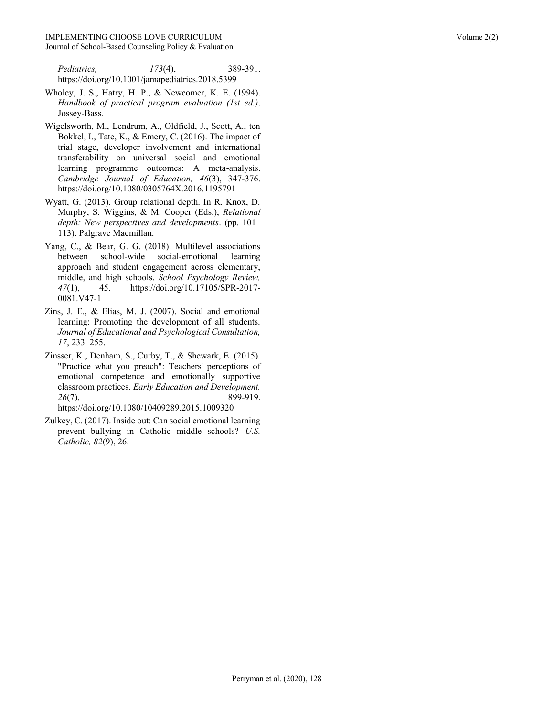- Wholey, J. S., Hatry, H. P., & Newcomer, K. E. (1994). *Handbook of practical program evaluation (1st ed.)*. Jossey-Bass.
- Wigelsworth, M., Lendrum, A., Oldfield, J., Scott, A., ten Bokkel, I., Tate, K., & Emery, C. (2016). The impact of trial stage, developer involvement and international transferability on universal social and emotional learning programme outcomes: A meta-analysis. *Cambridge Journal of Education, 46*(3), 347-376. <https://doi.org/10.1080/0305764X.2016.1195791>
- Wyatt, G. (2013). Group relational depth. In R. Knox, D. Murphy, S. Wiggins, & M. Cooper (Eds.), *Relational depth: New perspectives and developments*. (pp. 101– 113). Palgrave Macmillan.
- Yang, C., & Bear, G. G. (2018). Multilevel associations between school-wide social-emotional learning approach and student engagement across elementary, middle, and high schools. *School Psychology Review, 47*(1), 45. [https://doi.org/10.17105/SPR-2017-](https://doi.org/10.17105/SPR-2017-0081.V47-1) [0081.V47-1](https://doi.org/10.17105/SPR-2017-0081.V47-1)
- Zins, J. E., & Elias, M. J. (2007). Social and emotional learning: Promoting the development of all students. *Journal of Educational and Psychological Consultation, 17*, 233–255.
- Zinsser, K., Denham, S., Curby, T., & Shewark, E. (2015). "Practice what you preach": Teachers' perceptions of emotional competence and emotionally supportive classroom practices. *Early Education and Development, 26*(7), 899-919. <https://doi.org/10.1080/10409289.2015.1009320>
- Zulkey, C. (2017). Inside out: Can social emotional learning prevent bullying in Catholic middle schools? *U.S. Catholic, 82*(9), 26.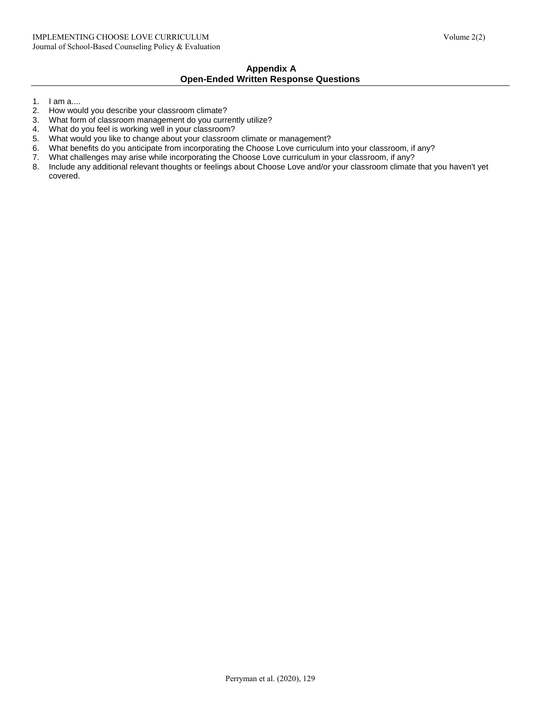### **Appendix A Open-Ended Written Response Questions**

- 1. I am a....
- 2. How would you describe your classroom climate?
- 3. What form of classroom management do you currently utilize?
- 4. What do you feel is working well in your classroom?<br>5. What would you like to change about your classroon
- What would you like to change about your classroom climate or management?
- 6. What benefits do you anticipate from incorporating the Choose Love curriculum into your classroom, if any?
- 7. What challenges may arise while incorporating the Choose Love curriculum in your classroom, if any?
- 8. Include any additional relevant thoughts or feelings about Choose Love and/or your classroom climate that you haven't yet covered.